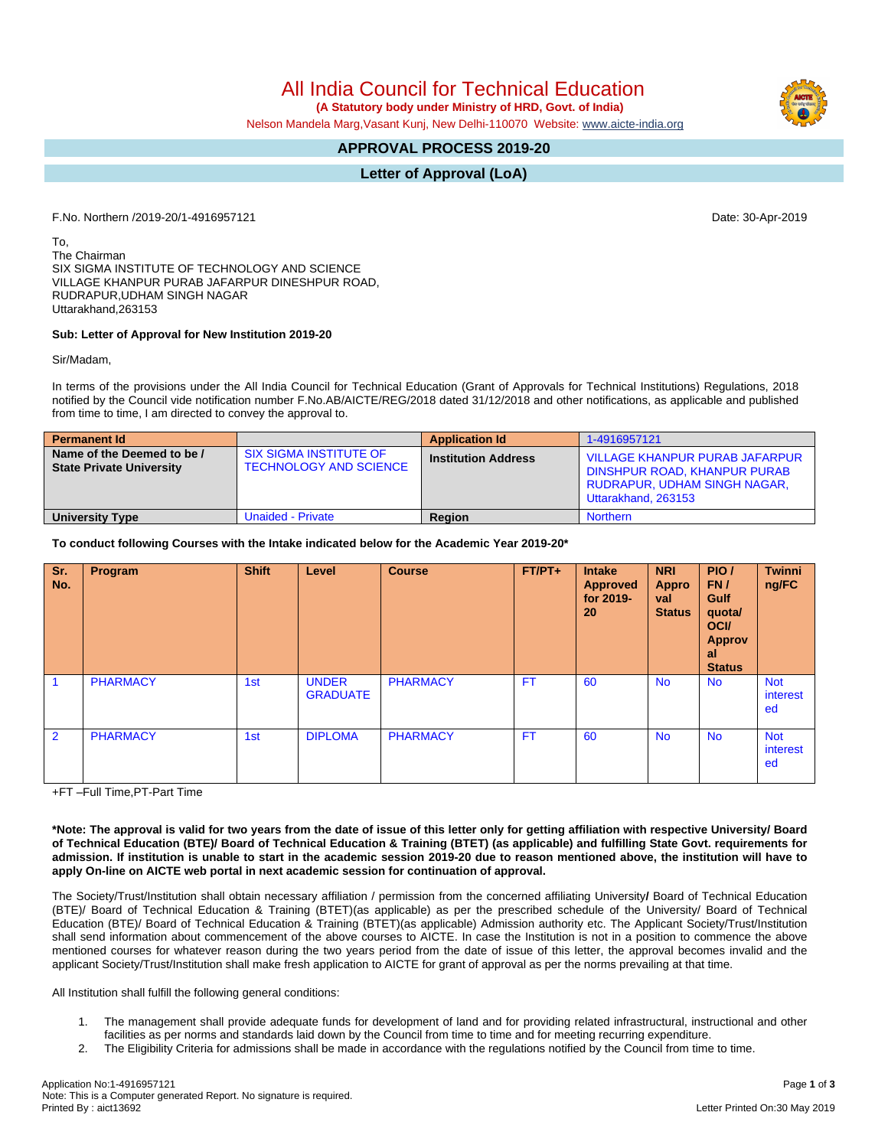All India Council for Technical Education

 **(A Statutory body under Ministry of HRD, Govt. of India)**

Nelson Mandela Marg,Vasant Kunj, New Delhi-110070 Website: [www.aicte-india.org](http://www.aicte-india.org)

## **APPROVAL PROCESS 2019-20**

**Letter of Approval (LoA)**

F.No. Northern /2019-20/1-4916957121 Date: 30-Apr-2019

To, The Chairman SIX SIGMA INSTITUTE OF TECHNOLOGY AND SCIENCE VILLAGE KHANPUR PURAB JAFARPUR DINESHPUR ROAD, RUDRAPUR,UDHAM SINGH NAGAR Uttarakhand,263153

## **Sub: Letter of Approval for New Institution 2019-20**

Sir/Madam,

In terms of the provisions under the All India Council for Technical Education (Grant of Approvals for Technical Institutions) Regulations, 2018 notified by the Council vide notification number F.No.AB/AICTE/REG/2018 dated 31/12/2018 and other notifications, as applicable and published from time to time, I am directed to convey the approval to.

| <b>Permanent Id</b>                                           |                                                                | <b>Application Id</b>      | 1-4916957121                                                                                                          |
|---------------------------------------------------------------|----------------------------------------------------------------|----------------------------|-----------------------------------------------------------------------------------------------------------------------|
| Name of the Deemed to be /<br><b>State Private University</b> | <b>SIX SIGMA INSTITUTE OF</b><br><b>TECHNOLOGY AND SCIENCE</b> | <b>Institution Address</b> | VILLAGE KHANPUR PURAB JAFARPUR<br>DINSHPUR ROAD, KHANPUR PURAB<br>RUDRAPUR. UDHAM SINGH NAGAR.<br>Uttarakhand, 263153 |
| <b>University Type</b>                                        | <b>Unaided - Private</b>                                       | <b>Region</b>              | <b>Northern</b>                                                                                                       |

**To conduct following Courses with the Intake indicated below for the Academic Year 2019-20\***

| Sr.<br>No.     | Program         | <b>Shift</b> | Level                           | <b>Course</b>   | $FT/PT+$  | <b>Intake</b><br><b>Approved</b><br>for 2019-<br>20 | <b>NRI</b><br><b>Appro</b><br>val<br><b>Status</b> | PIO/<br>FN/<br>Gulf<br>quota/<br><b>OCI/</b><br><b>Approv</b><br>-al<br><b>Status</b> | Twinni<br>ng/FC              |
|----------------|-----------------|--------------|---------------------------------|-----------------|-----------|-----------------------------------------------------|----------------------------------------------------|---------------------------------------------------------------------------------------|------------------------------|
| 1              | <b>PHARMACY</b> | 1st          | <b>UNDER</b><br><b>GRADUATE</b> | <b>PHARMACY</b> | <b>FT</b> | 60                                                  | <b>No</b>                                          | <b>No</b>                                                                             | <b>Not</b><br>interest<br>ed |
| $\overline{2}$ | <b>PHARMACY</b> | 1st          | <b>DIPLOMA</b>                  | <b>PHARMACY</b> | <b>FT</b> | 60                                                  | <b>No</b>                                          | <b>No</b>                                                                             | <b>Not</b><br>interest<br>ed |

+FT –Full Time,PT-Part Time

\*Note: The approval is valid for two years from the date of issue of this letter only for getting affiliation with respective University/ Board of Technical Education (BTE)/ Board of Technical Education & Training (BTET) (as applicable) and fulfilling State Govt. requirements for admission. If institution is unable to start in the academic session 2019-20 due to reason mentioned above, the institution will have to **apply On-line on AICTE web portal in next academic session for continuation of approval.**

The Society/Trust/Institution shall obtain necessary affiliation / permission from the concerned affiliating University**/** Board of Technical Education (BTE)/ Board of Technical Education & Training (BTET)(as applicable) as per the prescribed schedule of the University/ Board of Technical Education (BTE)/ Board of Technical Education & Training (BTET)(as applicable) Admission authority etc. The Applicant Society/Trust/Institution shall send information about commencement of the above courses to AICTE. In case the Institution is not in a position to commence the above mentioned courses for whatever reason during the two years period from the date of issue of this letter, the approval becomes invalid and the applicant Society/Trust/Institution shall make fresh application to AICTE for grant of approval as per the norms prevailing at that time.

All Institution shall fulfill the following general conditions:

- 1. The management shall provide adequate funds for development of land and for providing related infrastructural, instructional and other facilities as per norms and standards laid down by the Council from time to time and for meeting recurring expenditure.
- 2. The Eligibility Criteria for admissions shall be made in accordance with the regulations notified by the Council from time to time.

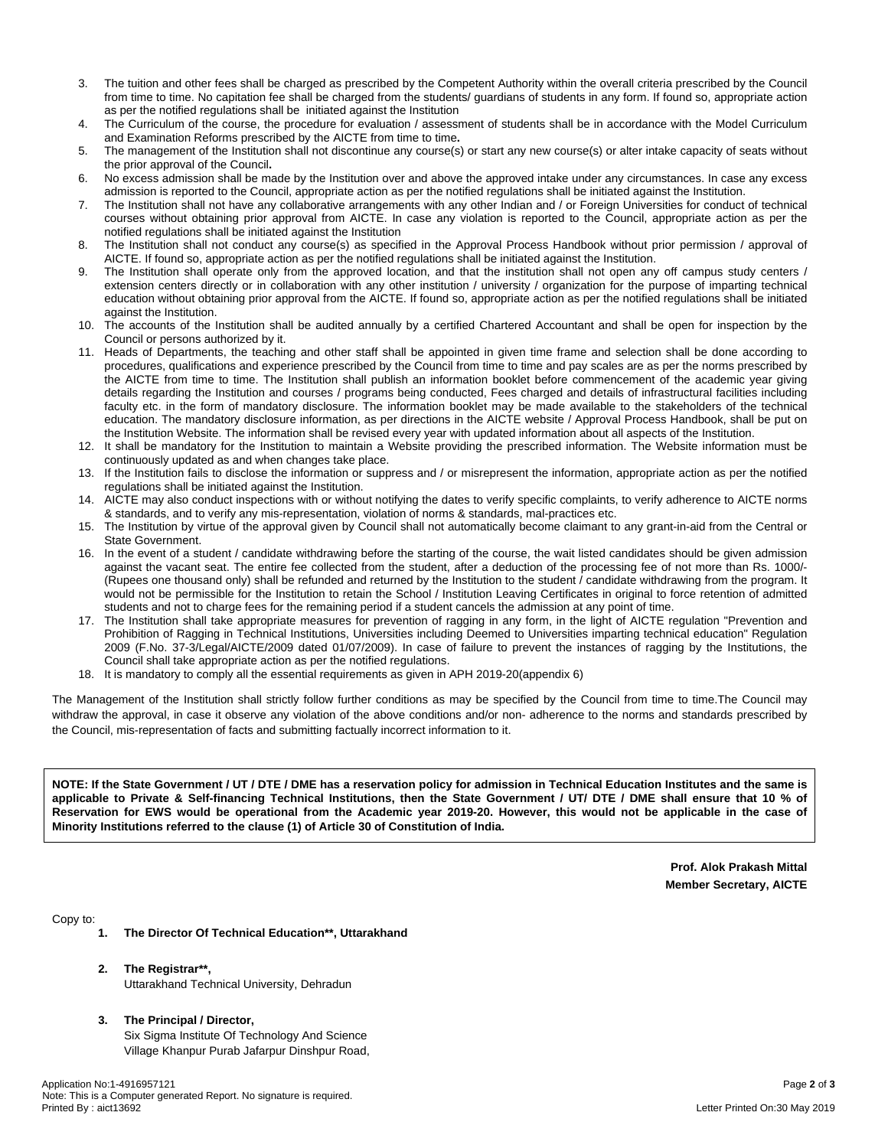- 3. The tuition and other fees shall be charged as prescribed by the Competent Authority within the overall criteria prescribed by the Council from time to time. No capitation fee shall be charged from the students/ guardians of students in any form. If found so, appropriate action as per the notified regulations shall be initiated against the Institution
- 4. The Curriculum of the course, the procedure for evaluation / assessment of students shall be in accordance with the Model Curriculum and Examination Reforms prescribed by the AICTE from time to time**.**
- 5. The management of the Institution shall not discontinue any course(s) or start any new course(s) or alter intake capacity of seats without the prior approval of the Council**.**
- 6. No excess admission shall be made by the Institution over and above the approved intake under any circumstances. In case any excess admission is reported to the Council, appropriate action as per the notified regulations shall be initiated against the Institution.
- 7. The Institution shall not have any collaborative arrangements with any other Indian and / or Foreign Universities for conduct of technical courses without obtaining prior approval from AICTE. In case any violation is reported to the Council, appropriate action as per the notified regulations shall be initiated against the Institution
- 8. The Institution shall not conduct any course(s) as specified in the Approval Process Handbook without prior permission / approval of AICTE. If found so, appropriate action as per the notified regulations shall be initiated against the Institution.
- 9. The Institution shall operate only from the approved location, and that the institution shall not open any off campus study centers / extension centers directly or in collaboration with any other institution / university / organization for the purpose of imparting technical education without obtaining prior approval from the AICTE. If found so, appropriate action as per the notified regulations shall be initiated against the Institution.
- 10. The accounts of the Institution shall be audited annually by a certified Chartered Accountant and shall be open for inspection by the Council or persons authorized by it.
- 11. Heads of Departments, the teaching and other staff shall be appointed in given time frame and selection shall be done according to procedures, qualifications and experience prescribed by the Council from time to time and pay scales are as per the norms prescribed by the AICTE from time to time. The Institution shall publish an information booklet before commencement of the academic year giving details regarding the Institution and courses / programs being conducted, Fees charged and details of infrastructural facilities including faculty etc. in the form of mandatory disclosure. The information booklet may be made available to the stakeholders of the technical education. The mandatory disclosure information, as per directions in the AICTE website / Approval Process Handbook, shall be put on the Institution Website. The information shall be revised every year with updated information about all aspects of the Institution.
- 12. It shall be mandatory for the Institution to maintain a Website providing the prescribed information. The Website information must be continuously updated as and when changes take place.
- 13. If the Institution fails to disclose the information or suppress and / or misrepresent the information, appropriate action as per the notified regulations shall be initiated against the Institution.
- 14. AICTE may also conduct inspections with or without notifying the dates to verify specific complaints, to verify adherence to AICTE norms & standards, and to verify any mis-representation, violation of norms & standards, mal-practices etc.
- 15. The Institution by virtue of the approval given by Council shall not automatically become claimant to any grant-in-aid from the Central or State Government.
- 16. In the event of a student / candidate withdrawing before the starting of the course, the wait listed candidates should be given admission against the vacant seat. The entire fee collected from the student, after a deduction of the processing fee of not more than Rs. 1000/- (Rupees one thousand only) shall be refunded and returned by the Institution to the student / candidate withdrawing from the program. It would not be permissible for the Institution to retain the School / Institution Leaving Certificates in original to force retention of admitted students and not to charge fees for the remaining period if a student cancels the admission at any point of time.
- 17. The Institution shall take appropriate measures for prevention of ragging in any form, in the light of AICTE regulation "Prevention and Prohibition of Ragging in Technical Institutions, Universities including Deemed to Universities imparting technical education" Regulation 2009 (F.No. 37-3/Legal/AICTE/2009 dated 01/07/2009). In case of failure to prevent the instances of ragging by the Institutions, the Council shall take appropriate action as per the notified regulations.
- 18. It is mandatory to comply all the essential requirements as given in APH 2019-20(appendix 6)

The Management of the Institution shall strictly follow further conditions as may be specified by the Council from time to time.The Council may withdraw the approval, in case it observe any violation of the above conditions and/or non- adherence to the norms and standards prescribed by the Council, mis-representation of facts and submitting factually incorrect information to it.

NOTE: If the State Government / UT / DTE / DME has a reservation policy for admission in Technical Education Institutes and the same is applicable to Private & Self-financing Technical Institutions, then the State Government / UT/ DTE / DME shall ensure that 10 % of Reservation for EWS would be operational from the Academic year 2019-20. However, this would not be applicable in the case of **Minority Institutions referred to the clause (1) of Article 30 of Constitution of India.**

> **Prof. Alok Prakash Mittal Member Secretary, AICTE**

Copy to:

- **1. The Director Of Technical Education\*\*, Uttarakhand**
- **2. The Registrar\*\*,** Uttarakhand Technical University, Dehradun
- **3. The Principal / Director,**

Six Sigma Institute Of Technology And Science Village Khanpur Purab Jafarpur Dinshpur Road,